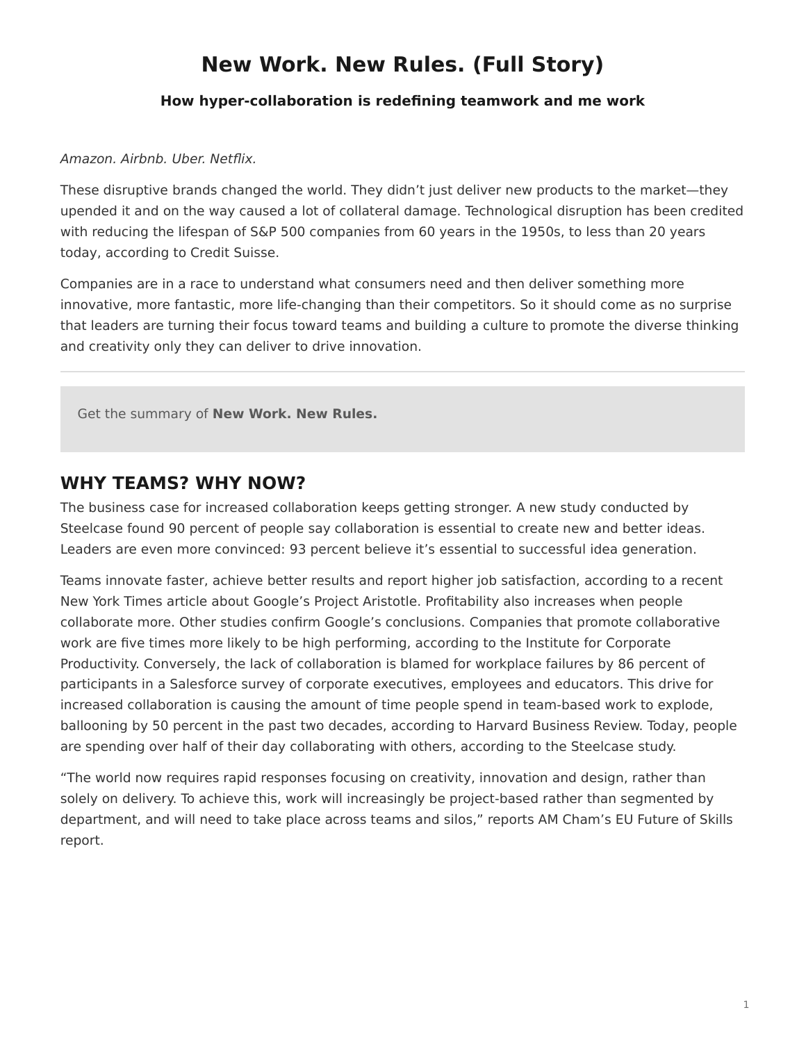# <span id="page-0-0"></span>**New Work. New Rules. (Full Story)**

### **How hyper-collaboration is redefining teamwork and me work**

#### Amazon. Airbnb. Uber. Netflix.

These disruptive brands changed the world. They didn't just deliver new products to the market—they upended it and on the way caused a lot of collateral damage. Technological disruption has been credited with reducing the lifespan of S&P 500 companies from 60 years in the 1950s, to less than 20 years today, according to Credit Suisse.

Companies are in a race to understand what consumers need and then deliver something more innovative, more fantastic, more life-changing than their competitors. So it should come as no surprise that leaders are turning their focus toward teams and building a culture to promote the diverse thinking and creativity only they can deliver to drive innovation.

Get the summary of **New Work. New Rules.**

### **WHY TEAMS? WHY NOW?**

The business case for increased collaboration keeps getting stronger. A new study conducted by Steelcase found 90 percent of people say collaboration is essential to create new and better ideas. Leaders are even more convinced: 93 percent believe it's essential to successful idea generation.

Teams innovate faster, achieve better results and report higher job satisfaction, according to a recent New York Times article about Google's Project Aristotle. Profitability also increases when people collaborate more. Other studies confirm Google's conclusions. Companies that promote collaborative work are five times more likely to be high performing, according to the Institute for Corporate Productivity. Conversely, the lack of collaboration is blamed for workplace failures by 86 percent of participants in a Salesforce survey of corporate executives, employees and educators. This drive for increased collaboration is causing the amount of time people spend in team-based work to explode, ballooning by 50 percent in the past two decades, according to Harvard Business Review. Today, people are spending over half of their day collaborating with others, according to the Steelcase study.

"The world now requires rapid responses focusing on creativity, innovation and design, rather than solely on delivery. To achieve this, work will increasingly be project-based rather than segmented by department, and will need to take place across teams and silos," reports AM Cham's EU Future of Skills report.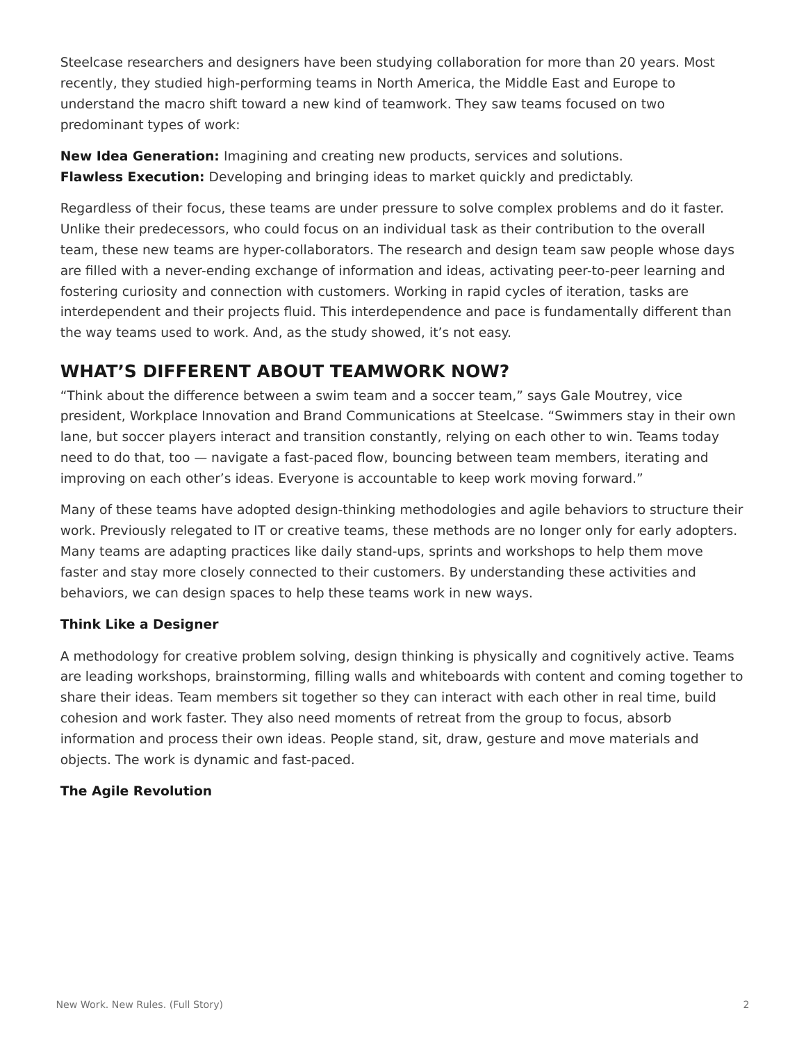Steelcase researchers and designers have been studying collaboration for more than 20 years. Most recently, they studied high-performing teams in North America, the Middle East and Europe to understand the macro shift toward a new kind of teamwork. They saw teams focused on two predominant types of work:

**New Idea Generation:** Imagining and creating new products, services and solutions. **Flawless Execution:** Developing and bringing ideas to market quickly and predictably.

Regardless of their focus, these teams are under pressure to solve complex problems and do it faster. Unlike their predecessors, who could focus on an individual task as their contribution to the overall team, these new teams are hyper-collaborators. The research and design team saw people whose days are filled with a never-ending exchange of information and ideas, activating peer-to-peer learning and fostering curiosity and connection with customers. Working in rapid cycles of iteration, tasks are interdependent and their projects fluid. This interdependence and pace is fundamentally different than the way teams used to work. And, as the study showed, it's not easy.

# **WHAT'S DIFFERENT ABOUT TEAMWORK NOW?**

"Think about the difference between a swim team and a soccer team," says Gale Moutrey, vice president, Workplace Innovation and Brand Communications at Steelcase. "Swimmers stay in their own lane, but soccer players interact and transition constantly, relying on each other to win. Teams today need to do that, too — navigate a fast-paced flow, bouncing between team members, iterating and improving on each other's ideas. Everyone is accountable to keep work moving forward."

Many of these teams have adopted design-thinking methodologies and agile behaviors to structure their work. Previously relegated to IT or creative teams, these methods are no longer only for early adopters. Many teams are adapting practices like daily stand-ups, sprints and workshops to help them move faster and stay more closely connected to their customers. By understanding these activities and behaviors, we can design spaces to help these teams work in new ways.

### **Think Like a Designer**

A methodology for creative problem solving, design thinking is physically and cognitively active. Teams are leading workshops, brainstorming, filling walls and whiteboards with content and coming together to share their ideas. Team members sit together so they can interact with each other in real time, build cohesion and work faster. They also need moments of retreat from the group to focus, absorb information and process their own ideas. People stand, sit, draw, gesture and move materials and objects. The work is dynamic and fast-paced.

### **The Agile Revolution**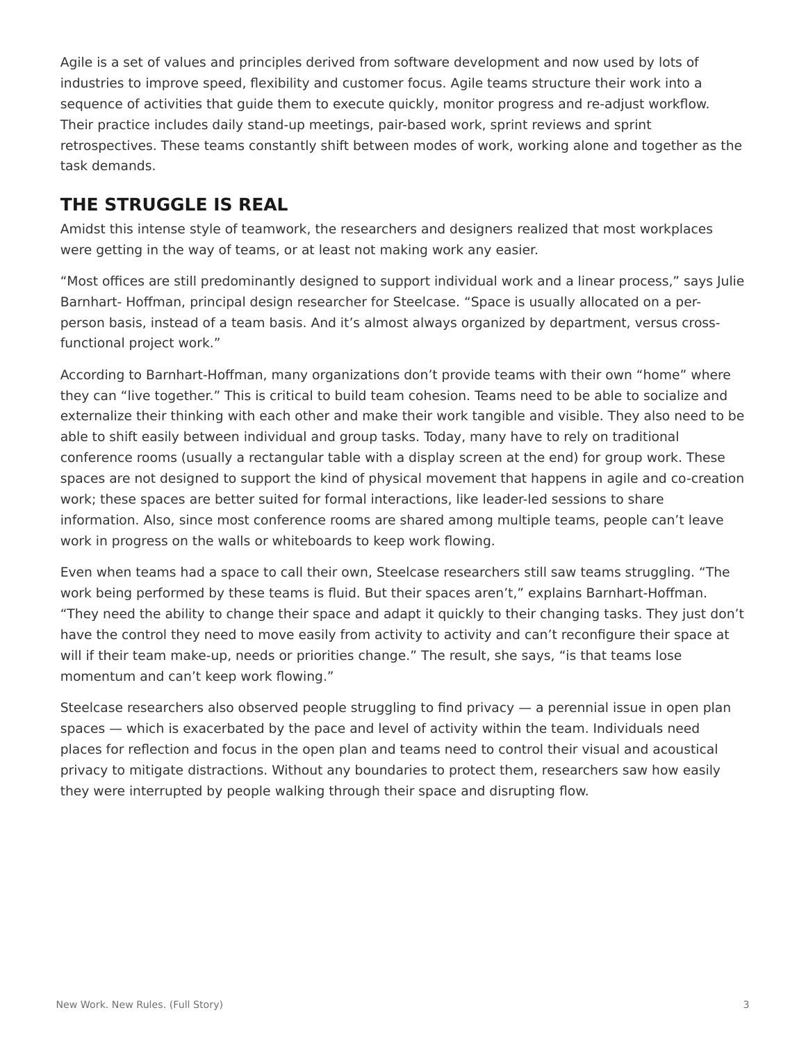Agile is a set of values and principles derived from software development and now used by lots of industries to improve speed, flexibility and customer focus. Agile teams structure their work into a sequence of activities that guide them to execute quickly, monitor progress and re-adjust workflow. Their practice includes daily stand-up meetings, pair-based work, sprint reviews and sprint retrospectives. These teams constantly shift between modes of work, working alone and together as the task demands.

# **THE STRUGGLE IS REAL**

Amidst this intense style of teamwork, the researchers and designers realized that most workplaces were getting in the way of teams, or at least not making work any easier.

"Most offices are still predominantly designed to support individual work and a linear process," says Julie Barnhart- Hoffman, principal design researcher for Steelcase. "Space is usually allocated on a perperson basis, instead of a team basis. And it's almost always organized by department, versus crossfunctional project work."

According to Barnhart-Hoffman, many organizations don't provide teams with their own "home" where they can "live together." This is critical to build team cohesion. Teams need to be able to socialize and externalize their thinking with each other and make their work tangible and visible. They also need to be able to shift easily between individual and group tasks. Today, many have to rely on traditional conference rooms (usually a rectangular table with a display screen at the end) for group work. These spaces are not designed to support the kind of physical movement that happens in agile and co-creation work; these spaces are better suited for formal interactions, like leader-led sessions to share information. Also, since most conference rooms are shared among multiple teams, people can't leave work in progress on the walls or whiteboards to keep work flowing.

Even when teams had a space to call their own, Steelcase researchers still saw teams struggling. "The work being performed by these teams is fluid. But their spaces aren't," explains Barnhart-Hoffman. "They need the ability to change their space and adapt it quickly to their changing tasks. They just don't have the control they need to move easily from activity to activity and can't reconfigure their space at will if their team make-up, needs or priorities change." The result, she says, "is that teams lose momentum and can't keep work flowing."

Steelcase researchers also observed people struggling to find privacy — a perennial issue in open plan spaces — which is exacerbated by the pace and level of activity within the team. Individuals need places for reflection and focus in the open plan and teams need to control their visual and acoustical privacy to mitigate distractions. Without any boundaries to protect them, researchers saw how easily they were interrupted by people walking through their space and disrupting flow.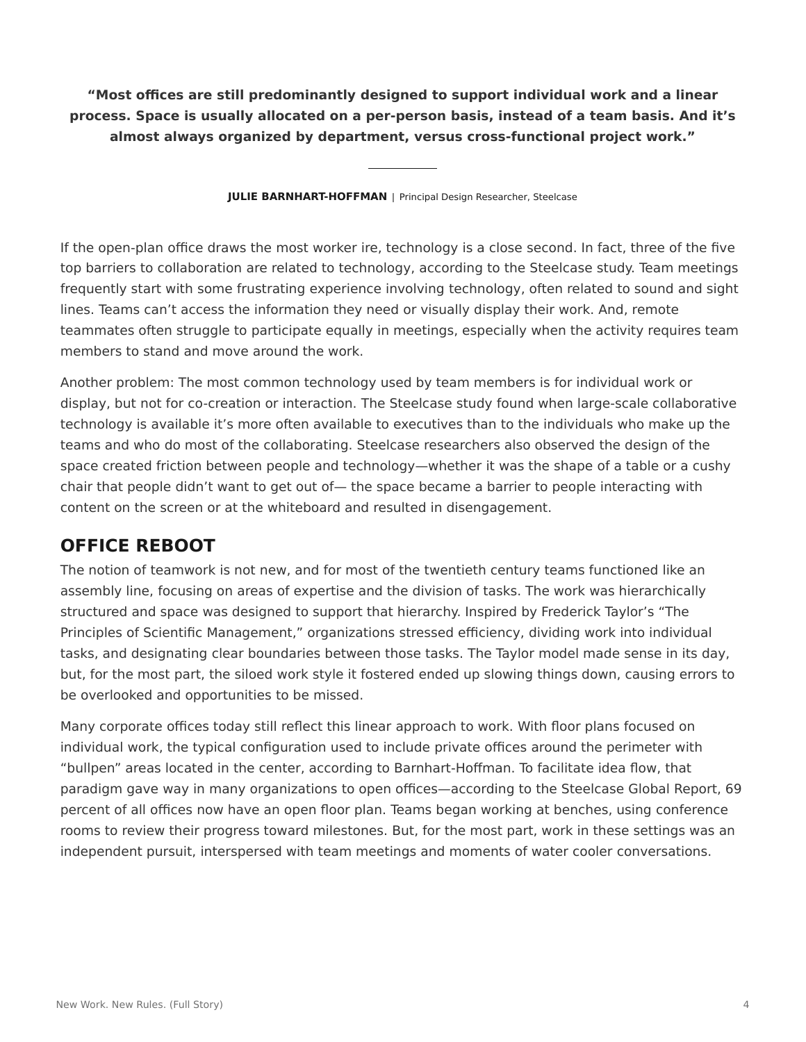**"Most offices are still predominantly designed to support individual work and a linear process. Space is usually allocated on a per-person basis, instead of a team basis. And it's almost always organized by department, versus cross-functional project work."**

**JULIE BARNHART-HOFFMAN** | Principal Design Researcher, Steelcase

If the open-plan office draws the most worker ire, technology is a close second. In fact, three of the five top barriers to collaboration are related to technology, according to the Steelcase study. Team meetings frequently start with some frustrating experience involving technology, often related to sound and sight lines. Teams can't access the information they need or visually display their work. And, remote teammates often struggle to participate equally in meetings, especially when the activity requires team members to stand and move around the work.

Another problem: The most common technology used by team members is for individual work or display, but not for co-creation or interaction. The Steelcase study found when large-scale collaborative technology is available it's more often available to executives than to the individuals who make up the teams and who do most of the collaborating. Steelcase researchers also observed the design of the space created friction between people and technology—whether it was the shape of a table or a cushy chair that people didn't want to get out of— the space became a barrier to people interacting with content on the screen or at the whiteboard and resulted in disengagement.

### **OFFICE REBOOT**

The notion of teamwork is not new, and for most of the twentieth century teams functioned like an assembly line, focusing on areas of expertise and the division of tasks. The work was hierarchically structured and space was designed to support that hierarchy. Inspired by Frederick Taylor's "The Principles of Scientific Management," organizations stressed efficiency, dividing work into individual tasks, and designating clear boundaries between those tasks. The Taylor model made sense in its day, but, for the most part, the siloed work style it fostered ended up slowing things down, causing errors to be overlooked and opportunities to be missed.

Many corporate offices today still reflect this linear approach to work. With floor plans focused on individual work, the typical configuration used to include private offices around the perimeter with "bullpen" areas located in the center, according to Barnhart-Hoffman. To facilitate idea flow, that paradigm gave way in many organizations to open offices—according to the Steelcase Global Report, 69 percent of all offices now have an open floor plan. Teams began working at benches, using conference rooms to review their progress toward milestones. But, for the most part, work in these settings was an independent pursuit, interspersed with team meetings and moments of water cooler conversations.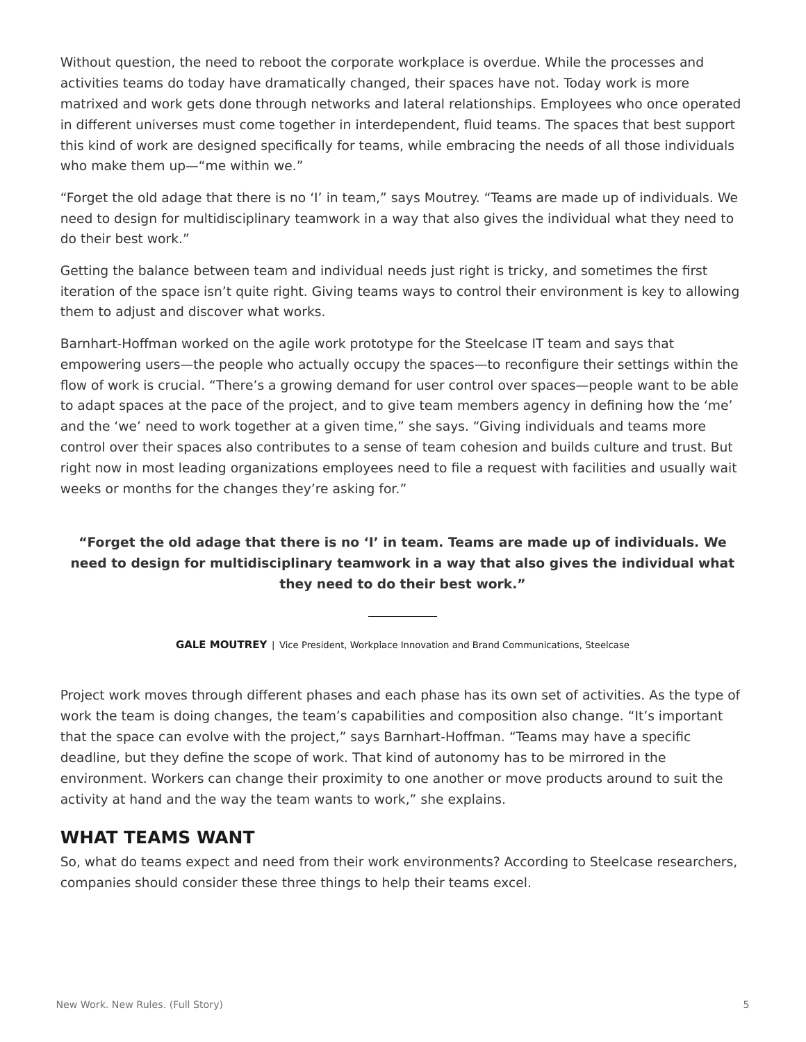Without question, the need to reboot the corporate workplace is overdue. While the processes and activities teams do today have dramatically changed, their spaces have not. Today work is more matrixed and work gets done through networks and lateral relationships. Employees who once operated in different universes must come together in interdependent, fluid teams. The spaces that best support this kind of work are designed specifically for teams, while embracing the needs of all those individuals who make them up—"me within we."

"Forget the old adage that there is no 'I' in team," says Moutrey. "Teams are made up of individuals. We need to design for multidisciplinary teamwork in a way that also gives the individual what they need to do their best work."

Getting the balance between team and individual needs just right is tricky, and sometimes the first iteration of the space isn't quite right. Giving teams ways to control their environment is key to allowing them to adjust and discover what works.

Barnhart-Hoffman worked on the agile work prototype for the Steelcase IT team and says that empowering users—the people who actually occupy the spaces—to reconfigure their settings within the flow of work is crucial. "There's a growing demand for user control over spaces—people want to be able to adapt spaces at the pace of the project, and to give team members agency in defining how the 'me' and the 'we' need to work together at a given time," she says. "Giving individuals and teams more control over their spaces also contributes to a sense of team cohesion and builds culture and trust. But right now in most leading organizations employees need to file a request with facilities and usually wait weeks or months for the changes they're asking for."

### **"Forget the old adage that there is no 'I' in team. Teams are made up of individuals. We need to design for multidisciplinary teamwork in a way that also gives the individual what they need to do their best work."**

**GALE MOUTREY** | Vice President, Workplace Innovation and Brand Communications, Steelcase

Project work moves through different phases and each phase has its own set of activities. As the type of work the team is doing changes, the team's capabilities and composition also change. "It's important that the space can evolve with the project," says Barnhart-Hoffman. "Teams may have a specific deadline, but they define the scope of work. That kind of autonomy has to be mirrored in the environment. Workers can change their proximity to one another or move products around to suit the activity at hand and the way the team wants to work," she explains.

### **WHAT TEAMS WANT**

So, what do teams expect and need from their work environments? According to Steelcase researchers, companies should consider these three things to help their teams excel.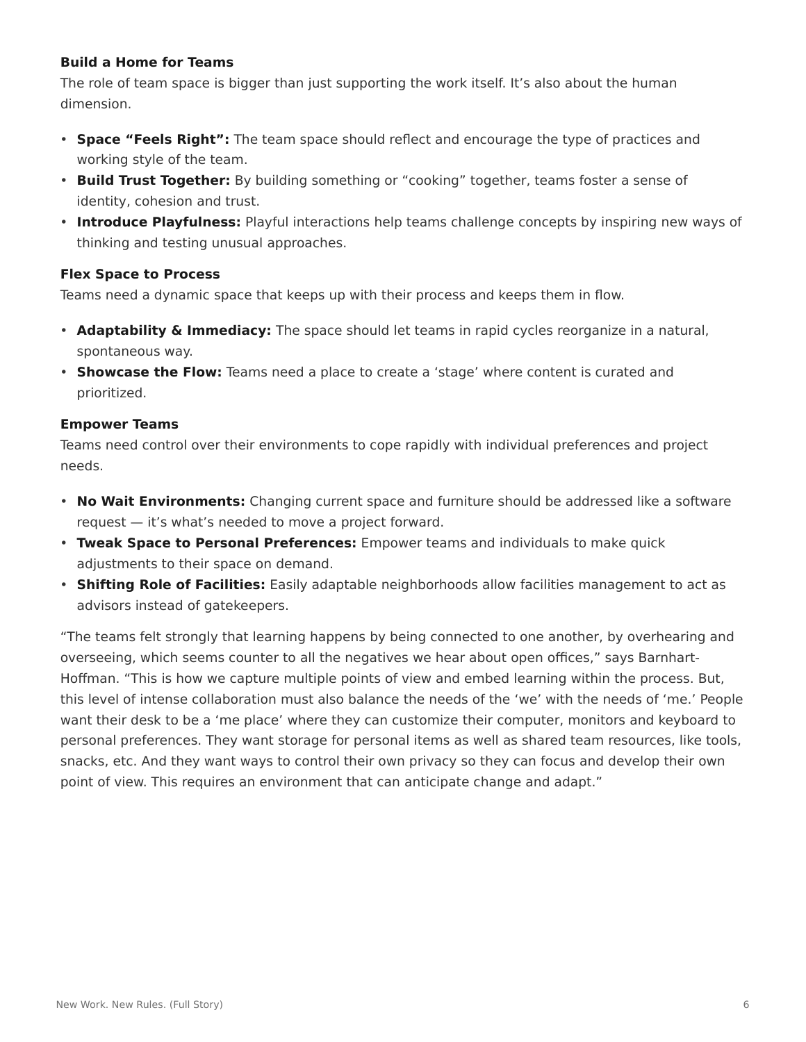#### **Build a Home for Teams**

The role of team space is bigger than just supporting the work itself. It's also about the human dimension.

- **Space "Feels Right":** The team space should reflect and encourage the type of practices and working style of the team.
- **Build Trust Together:** By building something or "cooking" together, teams foster a sense of identity, cohesion and trust.
- **Introduce Playfulness:** Playful interactions help teams challenge concepts by inspiring new ways of thinking and testing unusual approaches.

#### **Flex Space to Process**

Teams need a dynamic space that keeps up with their process and keeps them in flow.

- **Adaptability & Immediacy:** The space should let teams in rapid cycles reorganize in a natural, spontaneous way.
- **Showcase the Flow:** Teams need a place to create a 'stage' where content is curated and prioritized.

#### **Empower Teams**

Teams need control over their environments to cope rapidly with individual preferences and project needs.

- **No Wait Environments:** Changing current space and furniture should be addressed like a software request — it's what's needed to move a project forward.
- **Tweak Space to Personal Preferences:** Empower teams and individuals to make quick adjustments to their space on demand.
- **Shifting Role of Facilities:** Easily adaptable neighborhoods allow facilities management to act as advisors instead of gatekeepers.

"The teams felt strongly that learning happens by being connected to one another, by overhearing and overseeing, which seems counter to all the negatives we hear about open offices," says Barnhart-Hoffman. "This is how we capture multiple points of view and embed learning within the process. But, this level of intense collaboration must also balance the needs of the 'we' with the needs of 'me.' People want their desk to be a 'me place' where they can customize their computer, monitors and keyboard to personal preferences. They want storage for personal items as well as shared team resources, like tools, snacks, etc. And they want ways to control their own privacy so they can focus and develop their own point of view. This requires an environment that can anticipate change and adapt."